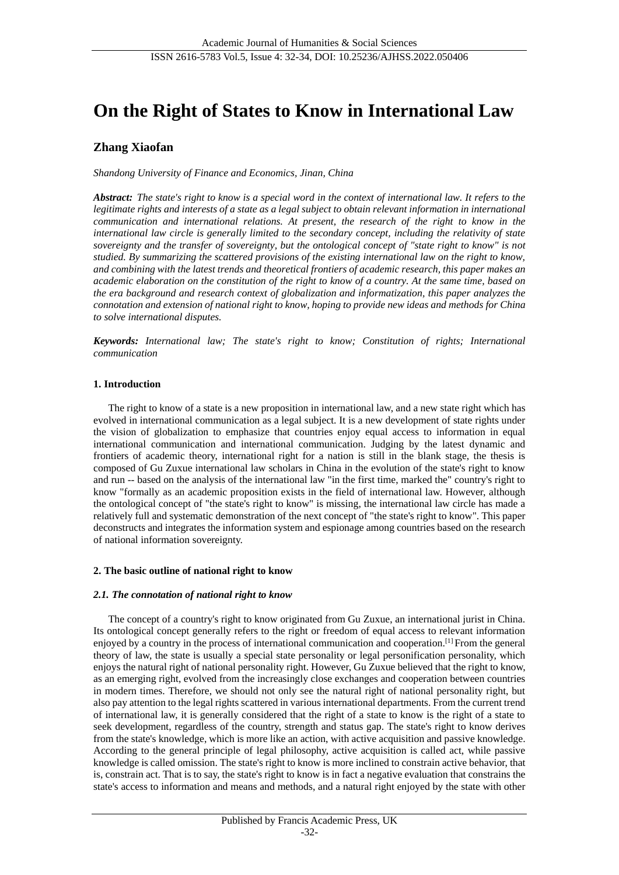# **On the Right of States to Know in International Law**

# **Zhang Xiaofan**

*Shandong University of Finance and Economics, Jinan, China*

*Abstract: The state's right to know is a special word in the context of international law. It refers to the legitimate rights and interests of a state as a legal subject to obtain relevant information in international communication and international relations. At present, the research of the right to know in the international law circle is generally limited to the secondary concept, including the relativity of state sovereignty and the transfer of sovereignty, but the ontological concept of "state right to know" is not studied. By summarizing the scattered provisions of the existing international law on the right to know, and combining with the latest trends and theoretical frontiers of academic research, this paper makes an academic elaboration on the constitution of the right to know of a country. At the same time, based on the era background and research context of globalization and informatization, this paper analyzes the connotation and extension of national right to know, hoping to provide new ideas and methods for China to solve international disputes.*

*Keywords: International law; The state's right to know; Constitution of rights; International communication*

# **1. Introduction**

The right to know of a state is a new proposition in international law, and a new state right which has evolved in international communication as a legal subject. It is a new development of state rights under the vision of globalization to emphasize that countries enjoy equal access to information in equal international communication and international communication. Judging by the latest dynamic and frontiers of academic theory, international right for a nation is still in the blank stage, the thesis is composed of Gu Zuxue international law scholars in China in the evolution of the state's right to know and run -- based on the analysis of the international law "in the first time, marked the" country's right to know "formally as an academic proposition exists in the field of international law. However, although the ontological concept of "the state's right to know" is missing, the international law circle has made a relatively full and systematic demonstration of the next concept of "the state's right to know". This paper deconstructs and integrates the information system and espionage among countries based on the research of national information sovereignty.

# **2. The basic outline of national right to know**

# *2.1. The connotation of national right to know*

The concept of a country's right to know originated from Gu Zuxue, an international jurist in China. Its ontological concept generally refers to the right or freedom of equal access to relevant information enjoyed by a country in the process of international communication and cooperation.[1] From the general theory of law, the state is usually a special state personality or legal personification personality, which enjoys the natural right of national personality right. However, Gu Zuxue believed that the right to know, as an emerging right, evolved from the increasingly close exchanges and cooperation between countries in modern times. Therefore, we should not only see the natural right of national personality right, but also pay attention to the legal rights scattered in various international departments. From the current trend of international law, it is generally considered that the right of a state to know is the right of a state to seek development, regardless of the country, strength and status gap. The state's right to know derives from the state's knowledge, which is more like an action, with active acquisition and passive knowledge. According to the general principle of legal philosophy, active acquisition is called act, while passive knowledge is called omission. The state's right to know is more inclined to constrain active behavior, that is, constrain act. That is to say, the state's right to know is in fact a negative evaluation that constrains the state's access to information and means and methods, and a natural right enjoyed by the state with other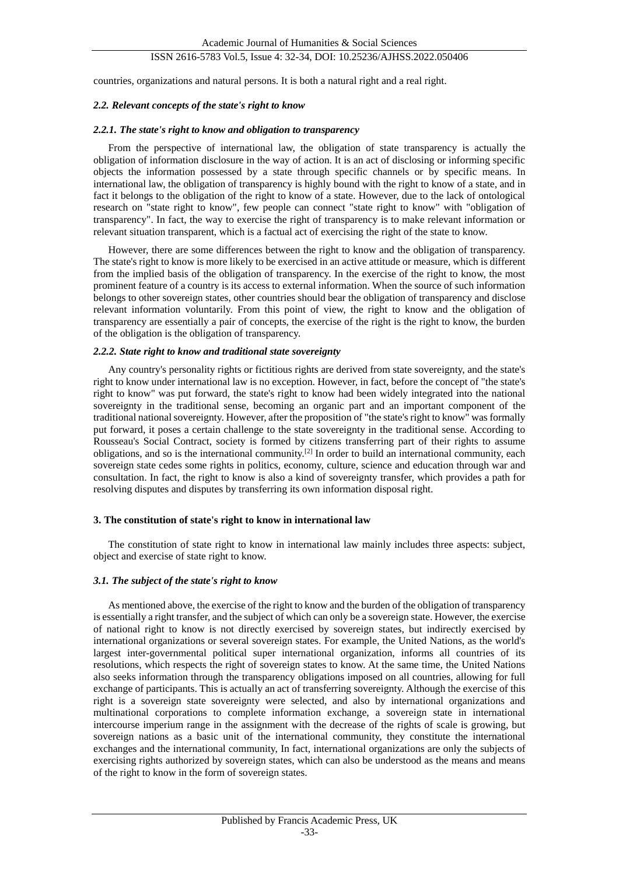# ISSN 2616-5783 Vol.5, Issue 4: 32-34, DOI: 10.25236/AJHSS.2022.050406

countries, organizations and natural persons. It is both a natural right and a real right.

#### *2.2. Relevant concepts of the state's right to know*

#### *2.2.1. The state's right to know and obligation to transparency*

From the perspective of international law, the obligation of state transparency is actually the obligation of information disclosure in the way of action. It is an act of disclosing or informing specific objects the information possessed by a state through specific channels or by specific means. In international law, the obligation of transparency is highly bound with the right to know of a state, and in fact it belongs to the obligation of the right to know of a state. However, due to the lack of ontological research on "state right to know", few people can connect "state right to know" with "obligation of transparency". In fact, the way to exercise the right of transparency is to make relevant information or relevant situation transparent, which is a factual act of exercising the right of the state to know.

However, there are some differences between the right to know and the obligation of transparency. The state's right to know is more likely to be exercised in an active attitude or measure, which is different from the implied basis of the obligation of transparency. In the exercise of the right to know, the most prominent feature of a country is its access to external information. When the source of such information belongs to other sovereign states, other countries should bear the obligation of transparency and disclose relevant information voluntarily. From this point of view, the right to know and the obligation of transparency are essentially a pair of concepts, the exercise of the right is the right to know, the burden of the obligation is the obligation of transparency.

#### *2.2.2. State right to know and traditional state sovereignty*

Any country's personality rights or fictitious rights are derived from state sovereignty, and the state's right to know under international law is no exception. However, in fact, before the concept of "the state's right to know" was put forward, the state's right to know had been widely integrated into the national sovereignty in the traditional sense, becoming an organic part and an important component of the traditional national sovereignty. However, after the proposition of "the state's right to know" was formally put forward, it poses a certain challenge to the state sovereignty in the traditional sense. According to Rousseau's Social Contract, society is formed by citizens transferring part of their rights to assume obligations, and so is the international community.[2] In order to build an international community, each sovereign state cedes some rights in politics, economy, culture, science and education through war and consultation. In fact, the right to know is also a kind of sovereignty transfer, which provides a path for resolving disputes and disputes by transferring its own information disposal right.

#### **3. The constitution of state's right to know in international law**

The constitution of state right to know in international law mainly includes three aspects: subject, object and exercise of state right to know.

# *3.1. The subject of the state's right to know*

As mentioned above, the exercise of the right to know and the burden of the obligation of transparency is essentially a right transfer, and the subject of which can only be a sovereign state. However, the exercise of national right to know is not directly exercised by sovereign states, but indirectly exercised by international organizations or several sovereign states. For example, the United Nations, as the world's largest inter-governmental political super international organization, informs all countries of its resolutions, which respects the right of sovereign states to know. At the same time, the United Nations also seeks information through the transparency obligations imposed on all countries, allowing for full exchange of participants. This is actually an act of transferring sovereignty. Although the exercise of this right is a sovereign state sovereignty were selected, and also by international organizations and multinational corporations to complete information exchange, a sovereign state in international intercourse imperium range in the assignment with the decrease of the rights of scale is growing, but sovereign nations as a basic unit of the international community, they constitute the international exchanges and the international community, In fact, international organizations are only the subjects of exercising rights authorized by sovereign states, which can also be understood as the means and means of the right to know in the form of sovereign states.